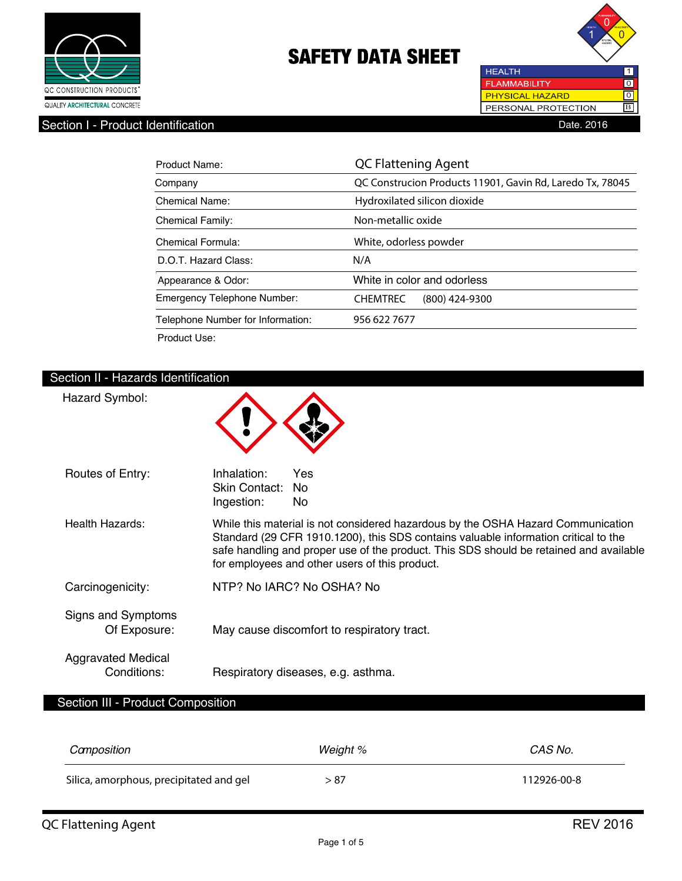



Section I - Product Identification **Date. 2016** 

| Product Name:                      | <b>QC Flattening Agent</b>                                |  |
|------------------------------------|-----------------------------------------------------------|--|
| Company                            | QC Construcion Products 11901, Gavin Rd, Laredo Tx, 78045 |  |
| Chemical Name:                     | Hydroxilated silicon dioxide                              |  |
| <b>Chemical Family:</b>            | Non-metallic oxide                                        |  |
| Chemical Formula:                  | White, odorless powder                                    |  |
| D.O.T. Hazard Class:               | N/A                                                       |  |
| Appearance & Odor:                 | White in color and odorless                               |  |
| <b>Emergency Telephone Number:</b> | <b>CHEMTREC</b><br>(800) 424-9300                         |  |
| Telephone Number for Information:  | 956 622 7677                                              |  |
| Product Use:                       |                                                           |  |

## Section II - Hazards Identification

| Hazard Symbol:                           |                                                   |                                                |                                                                                                                                                                                                                                                                   |
|------------------------------------------|---------------------------------------------------|------------------------------------------------|-------------------------------------------------------------------------------------------------------------------------------------------------------------------------------------------------------------------------------------------------------------------|
| Routes of Entry:                         | Inhalation:<br><b>Skin Contact:</b><br>Ingestion: | Yes<br><b>No</b><br><b>No</b>                  |                                                                                                                                                                                                                                                                   |
| Health Hazards:                          |                                                   | for employees and other users of this product. | While this material is not considered hazardous by the OSHA Hazard Communication<br>Standard (29 CFR 1910.1200), this SDS contains valuable information critical to the<br>safe handling and proper use of the product. This SDS should be retained and available |
| Carcinogenicity:                         |                                                   | NTP? No IARC? No OSHA? No                      |                                                                                                                                                                                                                                                                   |
| Signs and Symptoms<br>Of Exposure:       |                                                   | May cause discomfort to respiratory tract.     |                                                                                                                                                                                                                                                                   |
| <b>Aggravated Medical</b><br>Conditions: | Respiratory diseases, e.g. asthma.                |                                                |                                                                                                                                                                                                                                                                   |
| Section III - Product Composition        |                                                   |                                                |                                                                                                                                                                                                                                                                   |
| Camposition                              |                                                   | Weight %                                       | CAS No.                                                                                                                                                                                                                                                           |
| Silica, amorphous, precipitated and gel  |                                                   | > 87                                           | 112926-00-8                                                                                                                                                                                                                                                       |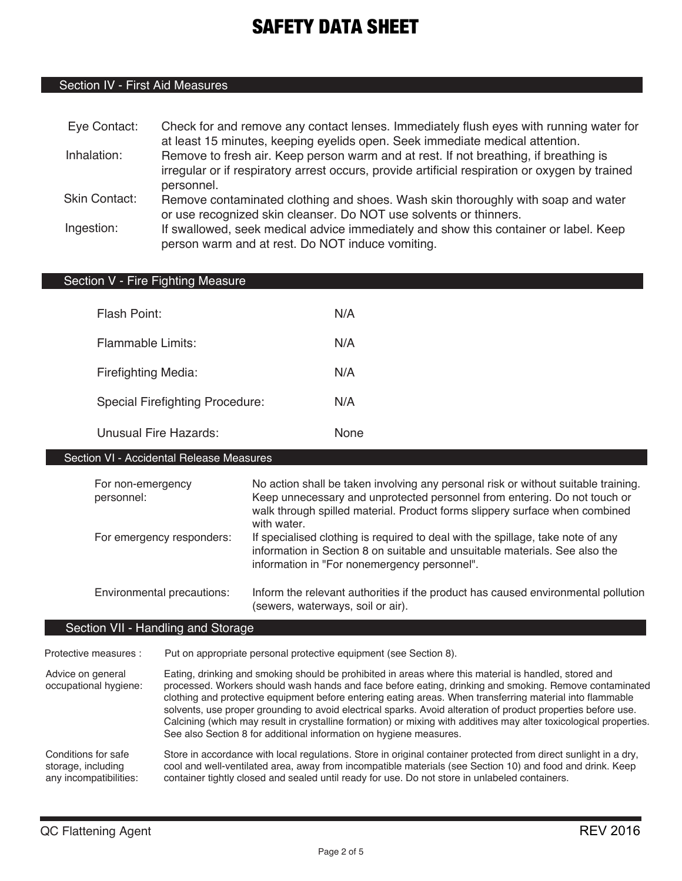## Section IV - First Aid Measures

| Eye Contact:         | Check for and remove any contact lenses. Immediately flush eyes with running water for         |
|----------------------|------------------------------------------------------------------------------------------------|
|                      | at least 15 minutes, keeping eyelids open. Seek immediate medical attention.                   |
| Inhalation:          | Remove to fresh air. Keep person warm and at rest. If not breathing, if breathing is           |
|                      | irregular or if respiratory arrest occurs, provide artificial respiration or oxygen by trained |
|                      | personnel.                                                                                     |
| <b>Skin Contact:</b> | Remove contaminated clothing and shoes. Wash skin thoroughly with soap and water               |
|                      | or use recognized skin cleanser. Do NOT use solvents or thinners.                              |
| Ingestion:           | If swallowed, seek medical advice immediately and show this container or label. Keep           |
|                      | person warm and at rest. Do NOT induce vomiting.                                               |

#### Section V - Fire Fighting Measure

| Flash Point:                           | N/A         |
|----------------------------------------|-------------|
| Flammable Limits:                      | N/A         |
| <b>Firefighting Media:</b>             | N/A         |
| <b>Special Firefighting Procedure:</b> | N/A         |
| Unusual Fire Hazards:                  | <b>None</b> |

#### Section VI - Accidental Release Measures

| For non-emergency<br>personnel: | No action shall be taken involving any personal risk or without suitable training.<br>Keep unnecessary and unprotected personnel from entering. Do not touch or<br>walk through spilled material. Product forms slippery surface when combined<br>with water. |
|---------------------------------|---------------------------------------------------------------------------------------------------------------------------------------------------------------------------------------------------------------------------------------------------------------|
| For emergency responders:       | If specialised clothing is required to deal with the spillage, take note of any<br>information in Section 8 on suitable and unsuitable materials. See also the<br>information in "For nonemergency personnel".                                                |
| Environmental precautions:      | Inform the relevant authorities if the product has caused environmental pollution                                                                                                                                                                             |

## Section VII - Handling and Storage

Protective measures : Put on appropriate personal protective equipment (see Section 8).

Advice on general occupational hygiene: Conditions for safe storage, including Store in accordance with local regulations. Store in original container protected from direct sunlight in a dry, cool and well-ventilated area, away from incompatible materials (see Section 10) and food and drink. Keep Eating, drinking and smoking should be prohibited in areas where this material is handled, stored and processed. Workers should wash hands and face before eating, drinking and smoking. Remove contaminated clothing and protective equipment before entering eating areas. When transferring material into flammable solvents, use proper grounding to avoid electrical sparks. Avoid alteration of product properties before use. Calcining (which may result in crystalline formation) or mixing with additives may alter toxicological properties. See also Section 8 for additional information on hygiene measures.

(sewers, waterways, soil or air).

container tightly closed and sealed until ready for use. Do not store in unlabeled containers.

any incompatibilities: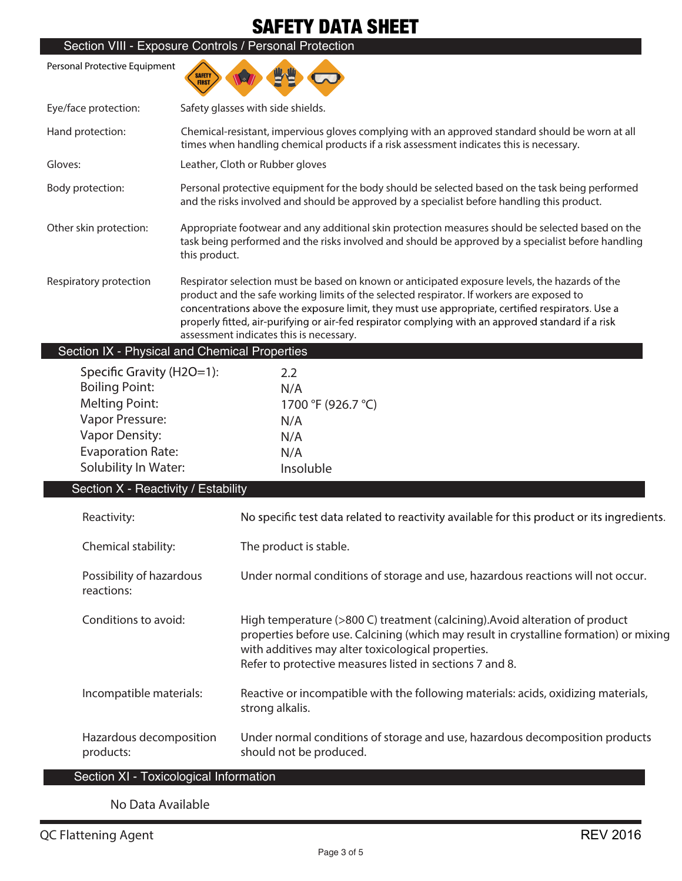|                                                                                                                                                                             | Section VIII - Exposure Controls / Personal Protection                                                                                                                                                                                                                                                                                                                                                                                           |  |  |
|-----------------------------------------------------------------------------------------------------------------------------------------------------------------------------|--------------------------------------------------------------------------------------------------------------------------------------------------------------------------------------------------------------------------------------------------------------------------------------------------------------------------------------------------------------------------------------------------------------------------------------------------|--|--|
| Personal Protective Equipment                                                                                                                                               | SAFETY<br>FIRST                                                                                                                                                                                                                                                                                                                                                                                                                                  |  |  |
| Eye/face protection:                                                                                                                                                        | Safety glasses with side shields.                                                                                                                                                                                                                                                                                                                                                                                                                |  |  |
| Hand protection:                                                                                                                                                            | Chemical-resistant, impervious gloves complying with an approved standard should be worn at all<br>times when handling chemical products if a risk assessment indicates this is necessary.                                                                                                                                                                                                                                                       |  |  |
| Gloves:                                                                                                                                                                     | Leather, Cloth or Rubber gloves                                                                                                                                                                                                                                                                                                                                                                                                                  |  |  |
| Body protection:                                                                                                                                                            | Personal protective equipment for the body should be selected based on the task being performed<br>and the risks involved and should be approved by a specialist before handling this product.                                                                                                                                                                                                                                                   |  |  |
| Other skin protection:                                                                                                                                                      | Appropriate footwear and any additional skin protection measures should be selected based on the<br>task being performed and the risks involved and should be approved by a specialist before handling<br>this product.                                                                                                                                                                                                                          |  |  |
| Respiratory protection                                                                                                                                                      | Respirator selection must be based on known or anticipated exposure levels, the hazards of the<br>product and the safe working limits of the selected respirator. If workers are exposed to<br>concentrations above the exposure limit, they must use appropriate, certified respirators. Use a<br>properly fitted, air-purifying or air-fed respirator complying with an approved standard if a risk<br>assessment indicates this is necessary. |  |  |
|                                                                                                                                                                             | Section IX - Physical and Chemical Properties                                                                                                                                                                                                                                                                                                                                                                                                    |  |  |
| Specific Gravity (H2O=1):<br><b>Boiling Point:</b><br><b>Melting Point:</b><br>Vapor Pressure:<br><b>Vapor Density:</b><br><b>Evaporation Rate:</b><br>Solubility In Water: | 2.2<br>N/A<br>1700 °F (926.7 °C)<br>N/A<br>N/A<br>N/A<br>Insoluble                                                                                                                                                                                                                                                                                                                                                                               |  |  |
| Section X - Reactivity / Estability                                                                                                                                         |                                                                                                                                                                                                                                                                                                                                                                                                                                                  |  |  |
| Reactivity:                                                                                                                                                                 | No specific test data related to reactivity available for this product or its ingredients.                                                                                                                                                                                                                                                                                                                                                       |  |  |
| Chemical stability:                                                                                                                                                         | The product is stable.                                                                                                                                                                                                                                                                                                                                                                                                                           |  |  |
| Possibility of hazardous<br>reactions:                                                                                                                                      | Under normal conditions of storage and use, hazardous reactions will not occur.                                                                                                                                                                                                                                                                                                                                                                  |  |  |
| Conditions to avoid:                                                                                                                                                        | High temperature (>800 C) treatment (calcining). Avoid alteration of product<br>properties before use. Calcining (which may result in crystalline formation) or mixing<br>with additives may alter toxicological properties.<br>Refer to protective measures listed in sections 7 and 8.                                                                                                                                                         |  |  |
| Incompatible materials:                                                                                                                                                     | Reactive or incompatible with the following materials: acids, oxidizing materials,<br>strong alkalis.                                                                                                                                                                                                                                                                                                                                            |  |  |
| Hazardous decomposition<br>products:                                                                                                                                        | Under normal conditions of storage and use, hazardous decomposition products<br>should not be produced.                                                                                                                                                                                                                                                                                                                                          |  |  |
|                                                                                                                                                                             | Section XI - Toxicological Information                                                                                                                                                                                                                                                                                                                                                                                                           |  |  |

## **No Data Available**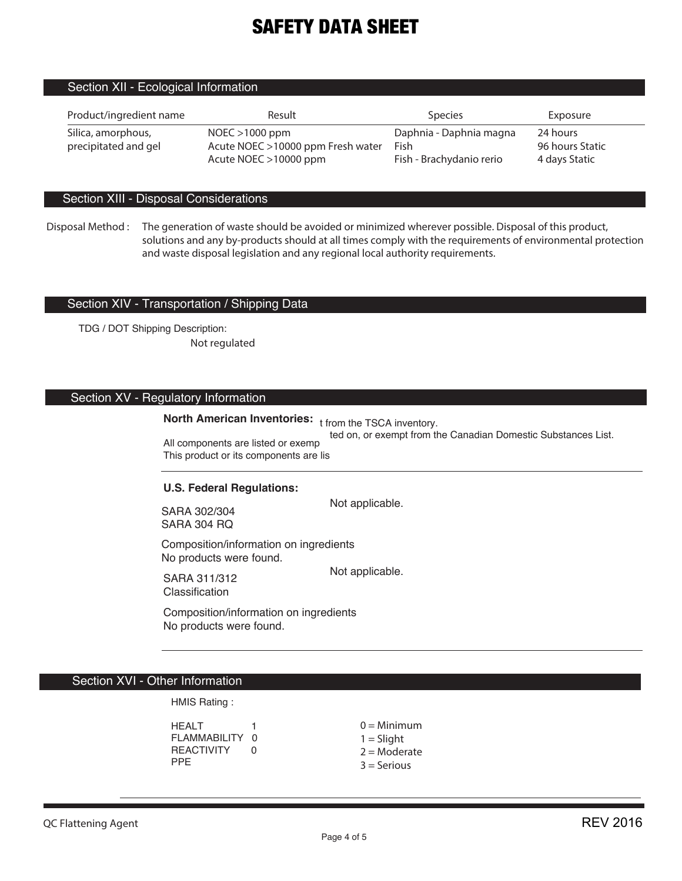## Section XII - Ecological Information

| Product/ingredient name                    | Result                                                                            | <b>Species</b>                                              | Exposure                                     |
|--------------------------------------------|-----------------------------------------------------------------------------------|-------------------------------------------------------------|----------------------------------------------|
| Silica, amorphous,<br>precipitated and gel | $NOEC > 1000$ ppm<br>Acute NOEC >10000 ppm Fresh water<br>Acute NOEC $>10000$ ppm | Daphnia - Daphnia magna<br>Fish<br>Fish - Brachydanio rerio | 24 hours<br>96 hours Static<br>4 days Static |

### Section XIII - Disposal Considerations

#### Section XIV - Transportation / Shipping Data

TDG / DOT Shipping Description: **Not regulated**

## Section XV - Regulatory Information

## **North American Inventories:** t from the TSCA inventory.

All components are listed or exemp This product or its components are lis ted on, or exempt from the Canadian Domestic Substances List.

#### **U.S. Federal Regulations:**

SARA 302/304 SARA 304 RQ

Not applicable.

Composition/information on ingredients No products were found.

SARA 311/312 Classification

Not applicable.

Composition/information on ingredients No products were found.

 $\overline{a}$ 

#### i. Section XVI - Other Information

HMIS Rating :

HEALT<sub>1</sub> FLAMMABILITY 0 REACTIVITY 0 PPE

 $0 =$ Minimum  $1 =$  Slight  $2 =$ Moderate

3 = Serious

**Disposal Method : The generation of waste should be avoided or minimized wherever possible. Disposal of this product, solutions and any by-products should at all times comply with the requirements of environmental protection and waste disposal legislation and any regional local authority requirements.**